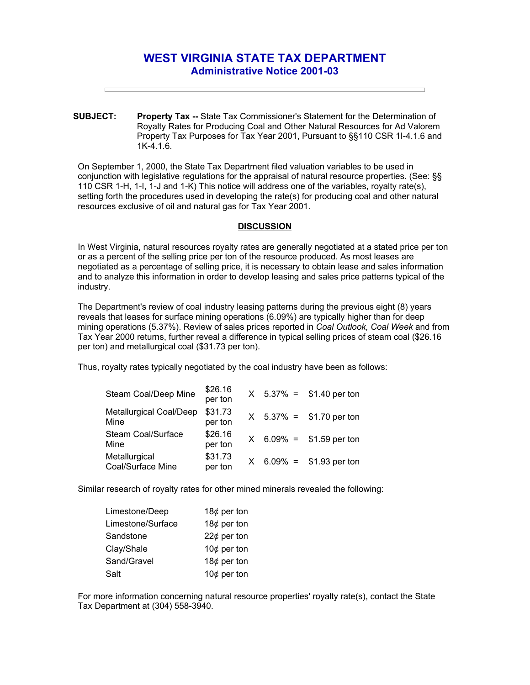## **WEST VIRGINIA STATE TAX DEPARTMENT Administrative Notice 2001-03**

**SUBJECT: Property Tax --** State Tax Commissioner's Statement for the Determination of Royalty Rates for Producing Coal and Other Natural Resources for Ad Valorem Property Tax Purposes for Tax Year 2001, Pursuant to §§110 CSR 1I-4.1.6 and 1K-4.1.6.

On September 1, 2000, the State Tax Department filed valuation variables to be used in conjunction with legislative regulations for the appraisal of natural resource properties. (See: §§ 110 CSR 1-H, 1-I, 1-J and 1-K) This notice will address one of the variables, royalty rate(s), setting forth the procedures used in developing the rate(s) for producing coal and other natural resources exclusive of oil and natural gas for Tax Year 2001.

## **DISCUSSION**

In West Virginia, natural resources royalty rates are generally negotiated at a stated price per ton or as a percent of the selling price per ton of the resource produced. As most leases are negotiated as a percentage of selling price, it is necessary to obtain lease and sales information and to analyze this information in order to develop leasing and sales price patterns typical of the industry.

The Department's review of coal industry leasing patterns during the previous eight (8) years reveals that leases for surface mining operations (6.09%) are typically higher than for deep mining operations (5.37%). Review of sales prices reported in *Coal Outlook, Coal Week* and from Tax Year 2000 returns, further reveal a difference in typical selling prices of steam coal (\$26.16 per ton) and metallurgical coal (\$31.73 per ton).

Thus, royalty rates typically negotiated by the coal industry have been as follows:

| Steam Coal/Deep Mine                   | \$26.16<br>per ton |  | $X$ 5.37% = \$1.40 per ton |
|----------------------------------------|--------------------|--|----------------------------|
| <b>Metallurgical Coal/Deep</b><br>Mine | \$31.73<br>per ton |  | $X$ 5.37% = \$1.70 per ton |
| <b>Steam Coal/Surface</b><br>Mine      | \$26.16<br>per ton |  | $X$ 6.09% = \$1.59 per ton |
| Metallurgical<br>Coal/Surface Mine     | \$31.73<br>per ton |  | $X$ 6.09% = \$1.93 per ton |

Similar research of royalty rates for other mined minerals revealed the following:

| Limestone/Deep    | 18 $¢$ per ton |
|-------------------|----------------|
| Limestone/Surface | 18 $¢$ per ton |
| Sandstone         | $22¢$ per ton  |
| Clay/Shale        | 10 $¢$ per ton |
| Sand/Gravel       | 18 $¢$ per ton |
| Salt              | 10 $¢$ per ton |

For more information concerning natural resource properties' royalty rate(s), contact the State Tax Department at (304) 558-3940.